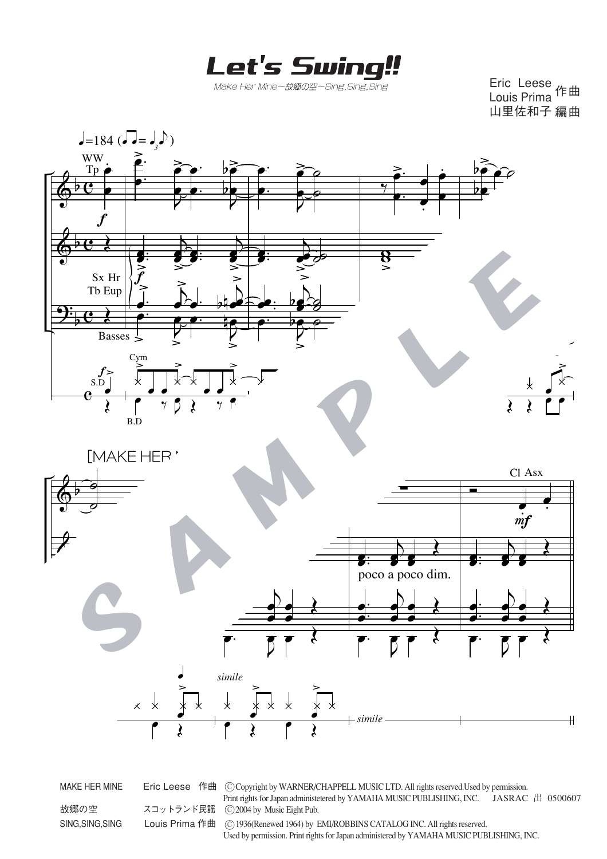Let's Swing!!

Make Her Mine~故郷の空~Sing.Sing.Sing

Eric Leese Louis Prima<sup>1</sup>年曲 山里佐和子 編曲



MAKE HER MINE Fric Leese 作曲 © Copyright by WARNER/CHAPPELL MUSIC LTD. All rights reserved.Used by permission. Print rights for Japan administetered by YAMAHA MUSIC PUBLISHING, INC. JASRAC 出 0500607<br>スコットランド民謡 © 2004 by Music Eight Pub.  $\overline{O}$  2004 by Music Eight Pub. SING, SING, SING Louis Prima 作曲 C 1936(Renewed 1964) by EMI/ROBBINS CATALOG INC. All rights reserved. Used by permission. Print rights for Japan administered by YAMAHA MUSIC PUBLISHING, INC.